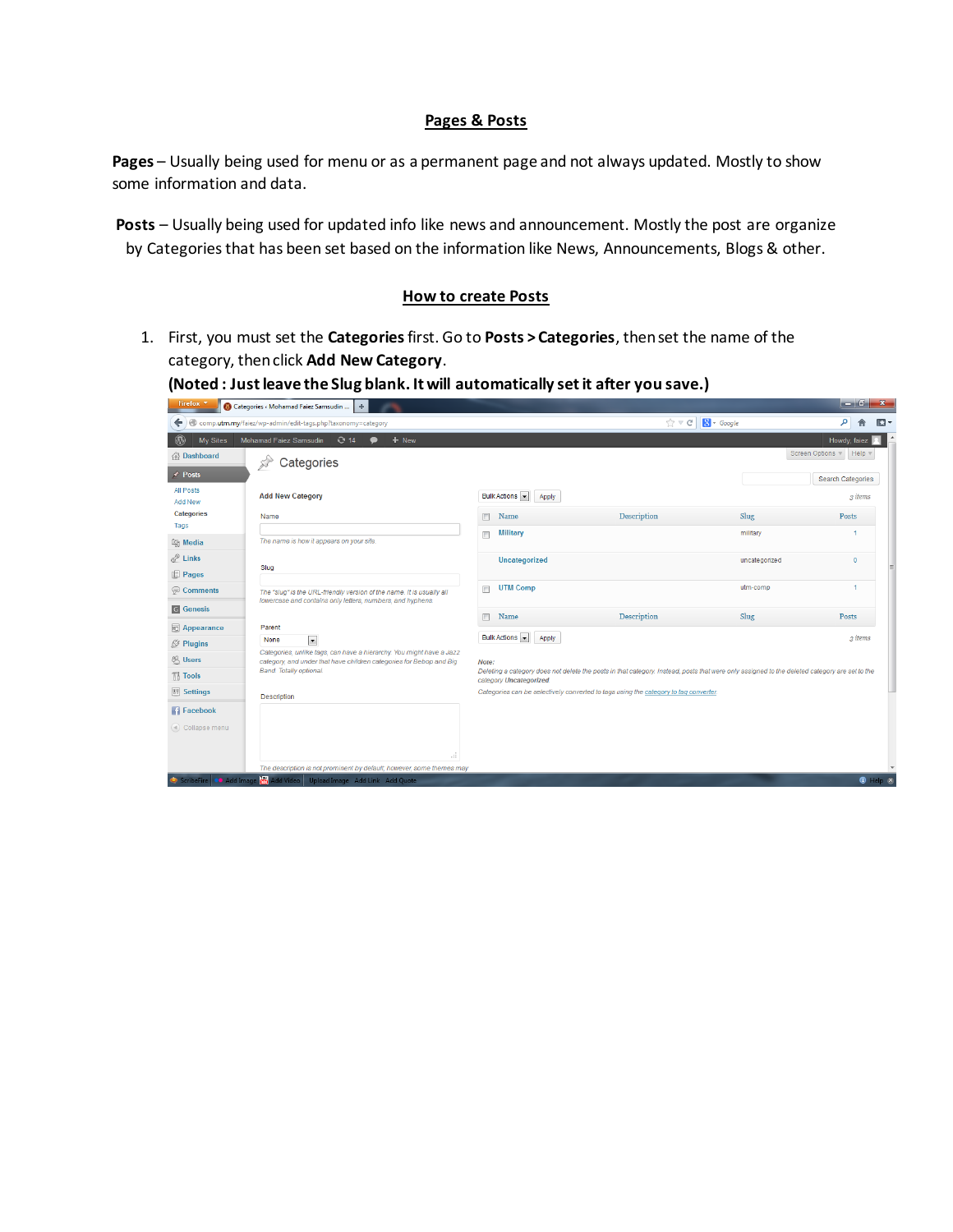## **Pages & Posts**

**Pages** – Usually being used for menu or as a permanent page and not always updated. Mostly to show some information and data.

**Posts** – Usually being used for updated info like news and announcement. Mostly the post are organize by Categories that has been set based on the information like News, Announcements, Blogs & other.

## **How to create Posts**

1. First, you must set the **Categories** first. Go to **Posts > Categories**, then set the name of the category, then click **Add New Category**.

**(Noted : Just leave the Slug blank. It will automatically set it after you save.)**

| Firefox <b>v</b>                         | $+$<br>Categories < Mohamad Faiez Samsudin                                                                                          |                                                                                                                                                                          |                            |               |                                       |                           |  |
|------------------------------------------|-------------------------------------------------------------------------------------------------------------------------------------|--------------------------------------------------------------------------------------------------------------------------------------------------------------------------|----------------------------|---------------|---------------------------------------|---------------------------|--|
| ←                                        | comp.utm.my/faiez/wp-admin/edit-tags.php?taxonomy=category                                                                          |                                                                                                                                                                          | $\frac{1}{10}$ $\forall$ C | $8 - Google$  | م                                     | $\mathbb{E}$              |  |
| $^{\circledR}$<br>My Sites               | Mohamad Faiez Samsudin C 14<br>+ New<br>$\bullet$                                                                                   |                                                                                                                                                                          |                            |               | Howdy, faiez                          |                           |  |
| <b>Bashboard</b>                         | Categories                                                                                                                          |                                                                                                                                                                          |                            |               | Screen Options<br>Help $\overline{v}$ |                           |  |
| $\star$ Posts                            |                                                                                                                                     |                                                                                                                                                                          |                            |               | <b>Search Categories</b>              |                           |  |
| All Posts<br><b>Add New</b>              | <b>Add New Category</b>                                                                                                             | Bulk Actions<br>Apply                                                                                                                                                    |                            |               | 3 items                               |                           |  |
| <b>Categories</b><br>Tags                | Name                                                                                                                                | $\Box$<br>Name                                                                                                                                                           | <b>Description</b>         | Slug          | Posts                                 |                           |  |
| <b>La Media</b>                          | The name is how it appears on your site.                                                                                            | <b>Military</b><br>$\overline{\phantom{a}}$                                                                                                                              |                            | military      | -1                                    |                           |  |
| P Links                                  | Slug                                                                                                                                | Uncategorized                                                                                                                                                            |                            | uncategorized | $\overline{0}$                        |                           |  |
| <b>Pages</b>                             |                                                                                                                                     |                                                                                                                                                                          |                            |               |                                       |                           |  |
| Comments                                 | The "slug" is the URL-friendly version of the name. It is usually all<br>lowercase and contains only letters, numbers, and hyphens. | <b>UTM Comp</b><br>$\blacksquare$                                                                                                                                        |                            | utm-comp      | -1                                    |                           |  |
| <b>G</b> Genesis                         |                                                                                                                                     | Name<br>$\blacksquare$                                                                                                                                                   | Description                | Slug          | Posts                                 |                           |  |
| <b>同</b> Appearance                      | Parent                                                                                                                              |                                                                                                                                                                          |                            |               |                                       |                           |  |
| <b><i><u><sup></sup></u></i> Plugins</b> | $\overline{\phantom{a}}$<br>None<br>Categories, unlike tags, can have a hierarchy. You might have a Jazz                            | Bulk Actions<br>Apply                                                                                                                                                    |                            |               |                                       | 3 items                   |  |
| <b>恐 Users</b>                           | category, and under that have children categories for Bebop and Big                                                                 | Note:                                                                                                                                                                    |                            |               |                                       |                           |  |
| $\mathbb{T}_0^1$ Tools                   | Band. Totally optional.                                                                                                             | Deleting a category does not delete the posts in that category. Instead, posts that were only assigned to the deleted category are set to the<br>category Uncategorized. |                            |               |                                       |                           |  |
| <b>39 Settings</b>                       | Description                                                                                                                         | Categories can be selectively converted to tags using the category to tag converter.                                                                                     |                            |               |                                       |                           |  |
| <b>Facebook</b>                          |                                                                                                                                     |                                                                                                                                                                          |                            |               |                                       |                           |  |
| (4) Collapse menu                        |                                                                                                                                     |                                                                                                                                                                          |                            |               |                                       |                           |  |
|                                          | лĒ.                                                                                                                                 |                                                                                                                                                                          |                            |               |                                       |                           |  |
|                                          | The description is not prominent by default; however, some themes may                                                               |                                                                                                                                                                          |                            |               |                                       |                           |  |
|                                          | ScribeFire   ● Add Image   Add Video   Upload Image Add Link Add Quote                                                              |                                                                                                                                                                          |                            |               |                                       | $\bigcirc$ Help $\otimes$ |  |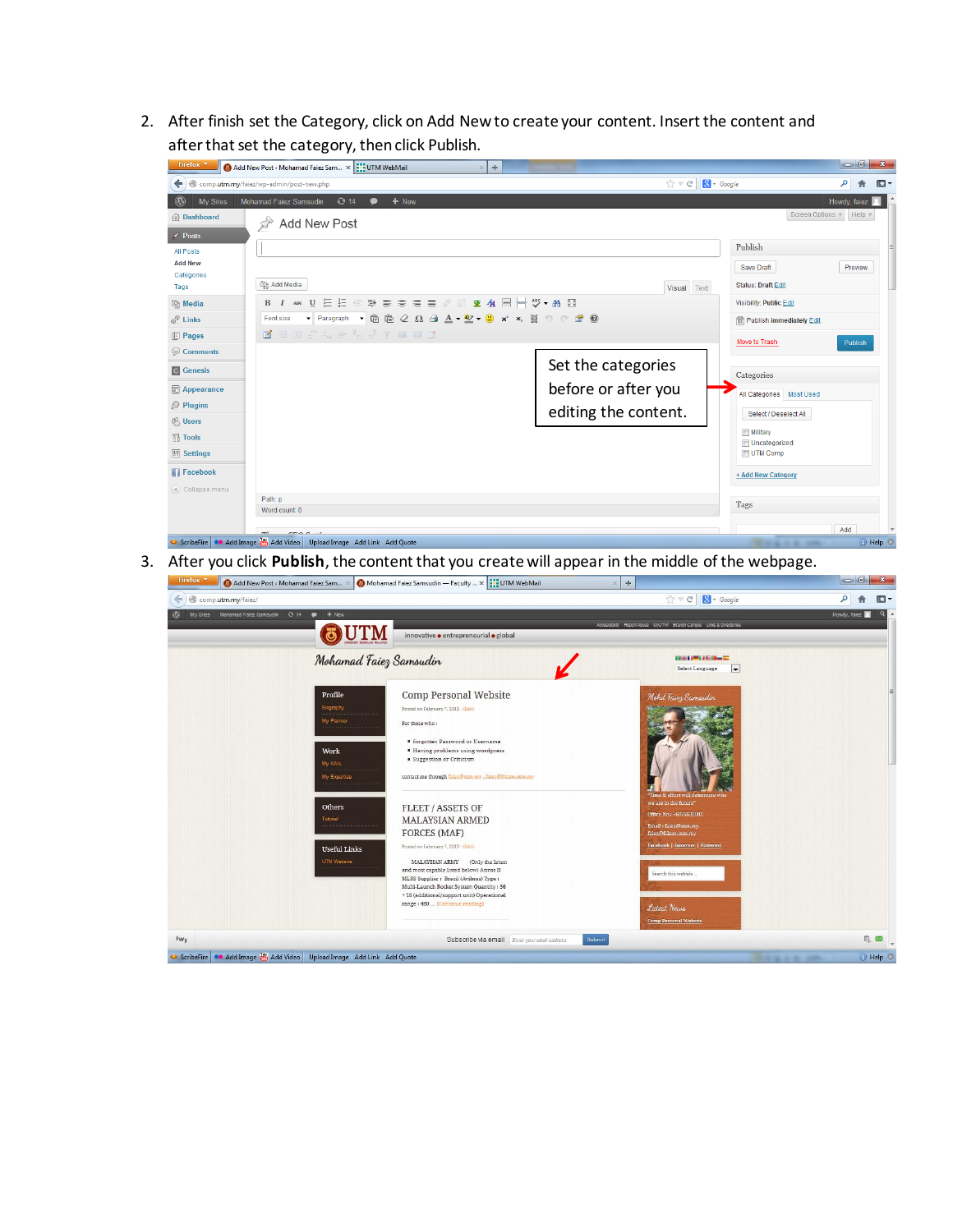2. After finish set the Category, click on Add New to create your content. Insert the content and after that set the category, then click Publish.

| Firefox <b>v</b>                                                                                                    | Add New Post < Mohamad Faiez Sam x 3: UTM WebMail<br>÷<br>$\times$ |                      |                                         |                                   | $\begin{array}{c c c c c} \hline \multicolumn{1}{c }{\mathbf{0}} & \multicolumn{1}{c }{\mathbf{x}} \\\hline \end{array}$ |  |  |  |  |
|---------------------------------------------------------------------------------------------------------------------|--------------------------------------------------------------------|----------------------|-----------------------------------------|-----------------------------------|--------------------------------------------------------------------------------------------------------------------------|--|--|--|--|
| $\uparrow$ $\vee$ $\circ$ $\Box$ $\Box$ $\bullet$ Google<br>comp.utm.my/faiez/wp-admin/post-new.php<br>$\leftarrow$ |                                                                    |                      |                                         | م                                 | 侖<br>$\square$                                                                                                           |  |  |  |  |
| $^{\circledR}$<br>My Sites                                                                                          | Mohamad Faiez Samsudin<br>$Q$ 14<br>+ New<br>$\bullet$             |                      |                                         | Howdy, faiez                      |                                                                                                                          |  |  |  |  |
| <b>备Dashboard</b>                                                                                                   | <b>Add New Post</b>                                                |                      |                                         | Screen Options v Help v           |                                                                                                                          |  |  |  |  |
| $\angle$ Posts                                                                                                      |                                                                    |                      | Publish                                 |                                   |                                                                                                                          |  |  |  |  |
| All Posts                                                                                                           |                                                                    |                      |                                         |                                   |                                                                                                                          |  |  |  |  |
| <b>Add New</b><br>Categories                                                                                        |                                                                    |                      |                                         | Preview                           |                                                                                                                          |  |  |  |  |
| Tags                                                                                                                | <b>mg</b> Add Media                                                | Visual Text          | <b>Status: Draft Edit</b>               |                                   |                                                                                                                          |  |  |  |  |
| <b>mg Media</b>                                                                                                     | <b>B / we U 三三三年手書書書記の読を 44 呂呂ツ - #A 図</b>                         |                      |                                         | <b>Visibility: Public Edit</b>    |                                                                                                                          |  |  |  |  |
| P Links                                                                                                             | • Paragraph • 隐隐 2 Ω 4 A • 2 • 3 x × 目 9 C m 0<br>Font size        |                      |                                         | <b>體 Publish immediately Edit</b> |                                                                                                                          |  |  |  |  |
| <b>Pages</b>                                                                                                        | Keer' te h r y mod                                                 |                      | <b>Move to Trash</b>                    | Publish                           |                                                                                                                          |  |  |  |  |
| Comments                                                                                                            |                                                                    |                      |                                         |                                   |                                                                                                                          |  |  |  |  |
| G Genesis                                                                                                           |                                                                    | Set the categories   | Categories                              |                                   |                                                                                                                          |  |  |  |  |
| <b>图 Appearance</b>                                                                                                 |                                                                    | before or after you  |                                         | All Categories Most Used          |                                                                                                                          |  |  |  |  |
| <b><i><u><sup></sup></u></i> Plugins</b>                                                                            |                                                                    | editing the content. | Select / Deselect All                   |                                   |                                                                                                                          |  |  |  |  |
| <b>恐 Users</b>                                                                                                      |                                                                    |                      |                                         |                                   |                                                                                                                          |  |  |  |  |
| Til Tools                                                                                                           |                                                                    |                      | <b>Military</b><br><b>Uncategorized</b> |                                   |                                                                                                                          |  |  |  |  |
| <b>TV Settings</b>                                                                                                  |                                                                    |                      | UTM Comp                                |                                   |                                                                                                                          |  |  |  |  |
| <b>Facebook</b>                                                                                                     |                                                                    |                      | + Add New Category                      |                                   |                                                                                                                          |  |  |  |  |
| (4) Collapse menu                                                                                                   | Path: p                                                            |                      |                                         |                                   |                                                                                                                          |  |  |  |  |
|                                                                                                                     | Word count: 0                                                      |                      | Tags                                    |                                   |                                                                                                                          |  |  |  |  |
|                                                                                                                     | $\overline{a}$ $\overline{b}$ $\overline{a}$                       |                      |                                         | Add                               |                                                                                                                          |  |  |  |  |
| C ScribeFire C Add Image (M Add Video Upload Image Add Link Add Quote<br><b>◎ Help ⊗</b><br>.                       |                                                                    |                      |                                         |                                   |                                                                                                                          |  |  |  |  |

3. After you click **Publish**, the content that you create will appear in the middle of the webpage.